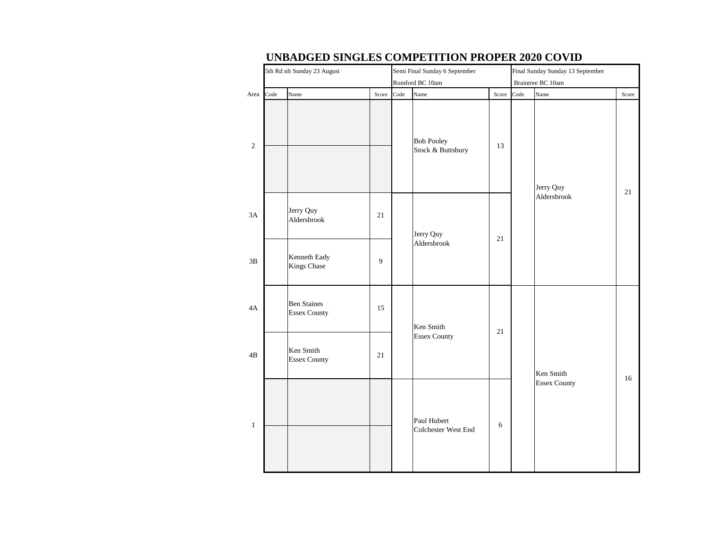|              | 5th Rd nlt Sunday 23 August               |       |      | Semi Final Sunday 6 September          |       |      | Score<br>21<br>Aldersbrook<br>16<br><b>Essex County</b> |  |  |  |  |  | Final Sunday Sunday 13 September |  |  |  |  |  |
|--------------|-------------------------------------------|-------|------|----------------------------------------|-------|------|---------------------------------------------------------|--|--|--|--|--|----------------------------------|--|--|--|--|--|
|              |                                           |       |      | Romford BC 10am                        |       |      | Braintree BC 10am                                       |  |  |  |  |  |                                  |  |  |  |  |  |
| Area Code    | Name                                      | Score | Code | Name                                   | Score | Code | Name                                                    |  |  |  |  |  |                                  |  |  |  |  |  |
| $\sqrt{2}$   |                                           |       |      | <b>Bob Pooley</b><br>Stock & Buttsbury | 13    |      | Jerry Quy                                               |  |  |  |  |  |                                  |  |  |  |  |  |
| 3A           | Jerry Quy<br>Aldersbrook                  | 21    |      | Jerry Quy                              | 21    |      |                                                         |  |  |  |  |  |                                  |  |  |  |  |  |
| 3B           | Kenneth Eady<br><b>Kings Chase</b>        | 9     |      | Aldersbrook                            |       |      |                                                         |  |  |  |  |  |                                  |  |  |  |  |  |
| 4A           | <b>Ben Staines</b><br><b>Essex County</b> | 15    |      | Ken Smith                              | 21    |      |                                                         |  |  |  |  |  |                                  |  |  |  |  |  |
| 4B           | Ken Smith<br><b>Essex County</b>          | 21    |      | <b>Essex County</b>                    |       |      | Ken Smith                                               |  |  |  |  |  |                                  |  |  |  |  |  |
| $\mathbf{1}$ |                                           |       |      | Paul Hubert<br>Colchester West End     | 6     |      |                                                         |  |  |  |  |  |                                  |  |  |  |  |  |

#### **UNBADGED SINGLES COMPETITION PROPER 2020 COVID**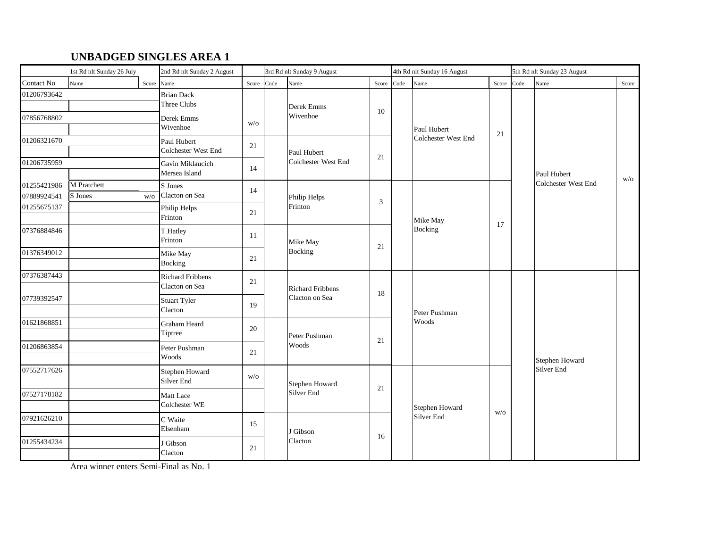# **UNBADGED SINGLES AREA 1**

| 1st Rd nlt Sunday 26 July  |                        | 2nd Rd nlt Sunday 2 August |                                           | 3rd Rd nlt Sunday 9 August |      |                                                     | 4th Rd nlt Sunday 16 August |                     |                     |            | 5th Rd nlt Sunday 23 August |                                    |       |  |
|----------------------------|------------------------|----------------------------|-------------------------------------------|----------------------------|------|-----------------------------------------------------|-----------------------------|---------------------|---------------------|------------|-----------------------------|------------------------------------|-------|--|
| Contact No                 | Name                   | Score                      | Name                                      | Score                      | Code | Name                                                | Score                       | Code                | Name                | Score Code |                             | Name                               | Score |  |
| 01206793642                |                        |                            | <b>Brian Dack</b><br>Three Clubs          |                            |      | Derek Emms                                          | 10                          |                     |                     |            |                             |                                    | W/O   |  |
| 07856768802                |                        |                            | Derek Emms<br>Wivenhoe                    | W/O                        |      | Wivenhoe                                            |                             |                     | Paul Hubert         | 21         |                             |                                    |       |  |
| 01206321670                |                        |                            | Paul Hubert<br><b>Colchester West End</b> | 21                         |      | Paul Hubert                                         | 21                          |                     | Colchester West End |            |                             |                                    |       |  |
| 01206735959                |                        |                            | Gavin Miklaucich<br>Mersea Island         | 14                         |      | Colchester West End                                 |                             |                     |                     |            |                             | Paul Hubert<br>Colchester West End |       |  |
| 01255421986<br>07889924541 | M Pratchett<br>S Jones | W/O                        | S Jones<br>Clacton on Sea                 | 14                         |      | Philip Helps<br>3                                   |                             | Mike May<br>Bocking |                     |            |                             |                                    |       |  |
| 01255675137                |                        |                            | Philip Helps<br>Frinton                   | 21                         |      | Frinton                                             |                             |                     |                     |            |                             |                                    |       |  |
| 07376884846                |                        |                            | T Hatley<br>Frinton                       | 11                         |      | Mike May                                            | 21                          |                     |                     | 17         |                             |                                    |       |  |
| 01376349012                |                        |                            | Mike May<br><b>Bocking</b>                | 21                         |      | Bocking                                             |                             |                     |                     |            |                             |                                    |       |  |
| 07376387443                |                        |                            | <b>Richard Fribbens</b><br>Clacton on Sea | 21                         |      | Richard Fribbens                                    |                             |                     |                     |            |                             |                                    |       |  |
| 07739392547                |                        |                            | <b>Stuart Tyler</b><br>Clacton            | 19                         |      | Clacton on Sea                                      | 18                          |                     | Peter Pushman       |            |                             |                                    |       |  |
| 01621868851                |                        |                            | Graham Heard<br>Tiptree                   | 20                         |      | Peter Pushman                                       |                             |                     | Woods               |            |                             |                                    |       |  |
| 01206863854                |                        |                            | Peter Pushman<br>Woods                    | 21                         |      | Woods                                               | 21                          |                     |                     |            |                             | Stephen Howard                     |       |  |
| 07552717626                |                        |                            | Stephen Howard<br>Silver End              | W/O                        |      | Stephen Howard<br>Silver End<br>J Gibson<br>Clacton |                             |                     |                     |            |                             | Silver End                         |       |  |
| 07527178182                |                        |                            | Matt Lace<br><b>Colchester WE</b>         |                            |      |                                                     | 21                          |                     | Stephen Howard      |            |                             |                                    |       |  |
| 07921626210                |                        |                            | C Waite<br>Elsenham                       | 15                         |      |                                                     |                             |                     | Silver End          | W/O        |                             |                                    |       |  |
| 01255434234                |                        |                            | J Gibson<br>Clacton                       | 21                         |      |                                                     | 16                          |                     |                     |            |                             |                                    |       |  |

Area winner enters Semi-Final as No. 1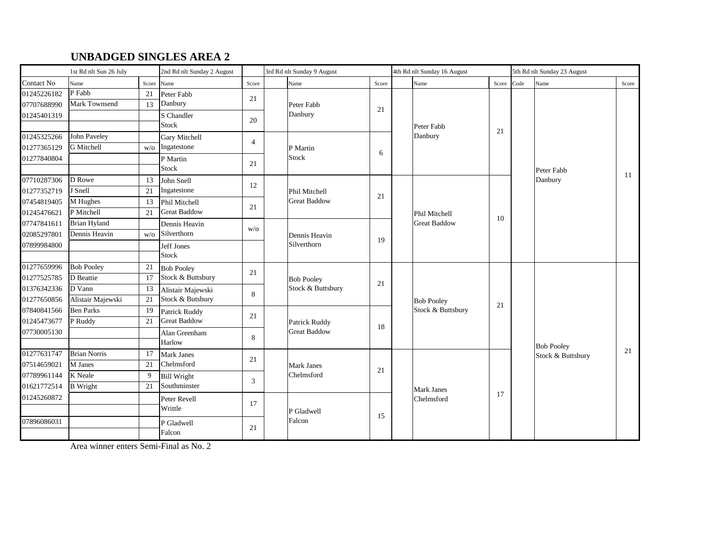## **UNBADGED SINGLES AREA 2**

|             | 1st Rd nlt Sun 26 July | 2nd Rd nlt Sunday 2 August |                      | 3rd Rd nlt Sunday 9 August |                   |                     | 4th Rd nlt Sunday 16 August |  |                                        |            | 5th Rd nlt Sunday 23 August |                       |       |
|-------------|------------------------|----------------------------|----------------------|----------------------------|-------------------|---------------------|-----------------------------|--|----------------------------------------|------------|-----------------------------|-----------------------|-------|
| Contact No  | Name                   |                            | Score Name           | Score                      |                   | Name                | Score                       |  | Name                                   | Score Code |                             | Name                  | Score |
| 01245226182 | $P$ Fabb               | 21                         | Peter Fabb           | 21                         |                   |                     |                             |  |                                        |            |                             |                       |       |
| 07707688990 | Mark Townsend          | 13                         | Danbury              |                            |                   | Peter Fabb          | 21                          |  |                                        |            |                             |                       |       |
| 01245401319 |                        |                            | S Chandler           | 20                         |                   | Danbury             |                             |  |                                        |            |                             | Peter Fabb<br>Danbury |       |
|             |                        |                            | <b>Stock</b>         |                            |                   |                     |                             |  | Peter Fabb                             | 21         |                             |                       |       |
| 01245325266 | <b>John Paveley</b>    |                            | <b>Gary Mitchell</b> | $\overline{4}$             |                   |                     |                             |  | Danbury                                |            |                             |                       |       |
| 01277365129 | G Mitchell             | W/O                        | Ingatestone          |                            |                   | P Martin            | 6                           |  |                                        |            |                             |                       |       |
| 01277840804 |                        |                            | P Martin             | 21                         |                   | Stock               |                             |  |                                        |            |                             |                       |       |
|             |                        |                            | <b>Stock</b>         |                            |                   |                     |                             |  |                                        |            |                             |                       | 11    |
| 07710287306 | D Rowe                 | 13                         | John Snell           | 12                         |                   |                     |                             |  | Phil Mitchell<br><b>Great Baddow</b>   |            |                             |                       |       |
| 01277352719 | J Snell                | 21                         | Ingatestone          |                            |                   | Phil Mitchell       | 21                          |  |                                        | 10         |                             |                       |       |
| 07454819405 | M Hughes               | 13                         | Phil Mitchell        | 21                         |                   | <b>Great Baddow</b> |                             |  |                                        |            |                             |                       |       |
| 01245476621 | P Mitchell             | 21                         | <b>Great Baddow</b>  |                            |                   |                     |                             |  |                                        |            |                             |                       |       |
| 07747841611 | <b>Brian Hyland</b>    |                            | Dennis Heavin        | W/O                        |                   | Dennis Heavin       |                             |  |                                        |            |                             |                       |       |
| 02085297801 | Dennis Heavin          | W/O                        | Silverthorn          |                            |                   |                     | 19                          |  |                                        |            |                             |                       |       |
| 07899984800 |                        |                            | Jeff Jones           |                            |                   | Silverthorn         |                             |  |                                        |            |                             |                       |       |
|             |                        |                            | <b>Stock</b>         |                            |                   |                     |                             |  |                                        |            |                             |                       |       |
| 01277659996 | <b>Bob Pooley</b>      | 21                         | <b>Bob Pooley</b>    | 21                         | <b>Bob Pooley</b> |                     |                             |  |                                        |            |                             |                       |       |
| 01277525785 | D Beattie              | 17                         | Stock & Buttsbury    |                            |                   | 21                  |                             |  |                                        |            |                             |                       |       |
| 01376342336 | D Vann                 | 13                         | Alistair Majewski    | 8                          |                   | Stock & Buttsbury   |                             |  | <b>Bob Pooley</b><br>Stock & Buttsbury | 21         |                             |                       |       |
| 01277650856 | Alistair Majewski      | 21                         | Stock & Butsbury     |                            |                   |                     |                             |  |                                        |            |                             |                       |       |
| 07840841566 | Ben Parks              | -19                        | Patrick Ruddy        | 21                         |                   |                     |                             |  |                                        |            |                             |                       |       |
| 01245473677 | P Ruddy                | 21                         | <b>Great Baddow</b>  |                            |                   | Patrick Ruddy       | 18                          |  |                                        |            |                             |                       |       |
| 07730005130 |                        |                            | Alan Greenham        | 8                          |                   | <b>Great Baddow</b> |                             |  |                                        |            |                             |                       |       |
|             |                        |                            | Harlow               |                            |                   |                     |                             |  |                                        |            |                             | <b>Bob Pooley</b>     |       |
| 01277631747 | <b>Brian Norris</b>    | 17                         | <b>Mark Janes</b>    | 21                         |                   |                     |                             |  |                                        |            |                             | Stock & Buttsbury     | 21    |
| 07514659021 | M Janes                | 21                         | Chelmsford           |                            |                   | <b>Mark Janes</b>   | 21                          |  |                                        |            |                             |                       |       |
| 07789961144 | K Neale                | 9                          | <b>Bill Wright</b>   |                            |                   | Chelmsford          |                             |  |                                        |            |                             |                       |       |
| 01621772514 | <b>B</b> Wright        | 21                         | Southminster         | 3                          |                   |                     |                             |  | <b>Mark Janes</b>                      |            |                             |                       |       |
| 01245260872 |                        |                            | Peter Revell         | 17                         |                   |                     |                             |  | Chelmsford                             | 17         |                             |                       |       |
|             |                        |                            | Writtle              |                            |                   | P Gladwell          |                             |  |                                        |            |                             |                       |       |
| 07896086031 |                        |                            | P Gladwell           |                            |                   | Falcon              | 15                          |  |                                        |            |                             |                       |       |
|             |                        |                            | Falcon               | 21                         |                   |                     |                             |  |                                        |            |                             |                       |       |

Area winner enters Semi-Final as No. 2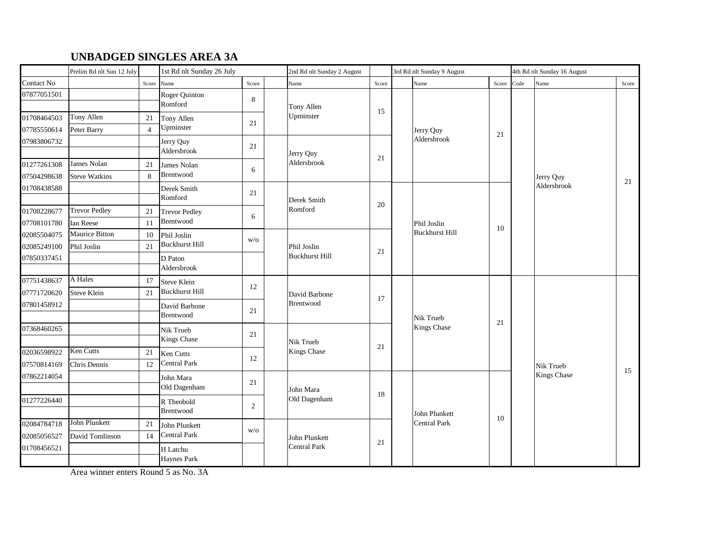## **UNBADGED SINGLES AREA 3A**

|                            | Prelim Rd nlt Sun 12 July |                      | 1st Rd nlt Sunday 26 July                   |                | 2nd Rd nlt Sunday 2 August |       |  | 3rd Rd nlt Sunday 9 August      |       |      | 4th Rd nlt Sunday 16 August |       |  |  |
|----------------------------|---------------------------|----------------------|---------------------------------------------|----------------|----------------------------|-------|--|---------------------------------|-------|------|-----------------------------|-------|--|--|
| Contact No                 |                           | Score                | Name                                        | Score          | Name                       | Score |  | Name                            | Score | Code | Name                        | Score |  |  |
| 07877051501                |                           |                      | <b>Roger Quinton</b><br>Romford             | 8              | Tony Allen                 |       |  |                                 |       |      |                             |       |  |  |
| 01708464503<br>07785550614 | Tony Allen<br>Peter Barry | 21<br>$\overline{4}$ | Tony Allen<br>Upminster                     | 21             | Upminster                  | 15    |  | Jerry Quy<br>Aldersbrook        | 21    |      |                             |       |  |  |
| 07983806732                |                           |                      | Jerry Quy<br>Aldersbrook                    | 21             | Jerry Quy                  | 21    |  |                                 |       |      |                             |       |  |  |
| 01277261308                | James Nolan               | 21                   | James Nolan<br>Brentwood                    | 6              | Aldersbrook                |       |  |                                 |       |      |                             |       |  |  |
| 07504298638                | <b>Steve Watkins</b>      | $\mathbf{8}$         |                                             |                |                            |       |  |                                 |       |      | Jerry Quy<br>Aldersbrook    | 21    |  |  |
| 01708438588                |                           |                      | Derek Smith<br>Romford                      | 21             | Derek Smith                | 20    |  |                                 |       |      |                             |       |  |  |
| 01708228677                | <b>Trevor Pedley</b>      | 21                   | <b>Trevor Pedley</b>                        | 6              | Romford                    |       |  |                                 |       |      |                             |       |  |  |
| 07708101780                | Ian Reese                 | 11                   | Brentwood                                   |                |                            |       |  | Phil Joslin                     | 10    |      |                             |       |  |  |
| 02085504075                | Maurice Bitton            | 10                   | Phil Joslin                                 | W/O            |                            |       |  | <b>Buckhurst Hill</b>           |       |      |                             |       |  |  |
| 02085249100                | Phil Joslin               | 21                   | <b>Buckhurst Hill</b>                       |                | Phil Joslin                | 21    |  |                                 |       |      |                             |       |  |  |
| 07850337451                |                           |                      | D Paton<br>Aldersbrook                      |                | Buckhurst Hill             |       |  |                                 |       |      |                             |       |  |  |
| 07751438637                | A Hales                   | 17                   | <b>Steve Klein</b><br><b>Buckhurst Hill</b> | 12             |                            |       |  |                                 |       |      |                             |       |  |  |
| 07771720620                | Steve Klein               | 21                   |                                             |                | David Barbone              | 17    |  |                                 |       |      |                             |       |  |  |
| 07801458912                |                           |                      | David Barbone<br><b>Brentwood</b>           | 21             | Brentwood                  |       |  | Nik Trueb<br><b>Kings Chase</b> | 21    |      |                             |       |  |  |
| 07368460265                |                           |                      | Nik Trueb<br>Kings Chase                    | 21             | Nik Trueb                  |       |  |                                 |       |      |                             |       |  |  |
| 02036598922                | Ken Cutts                 | 21                   | Ken Cutts                                   |                | Kings Chase                | 21    |  |                                 |       |      |                             |       |  |  |
| 07570814169                | Chris Dennis              | 12                   | Central Park                                | 12             |                            |       |  |                                 |       |      | Nik Trueb                   |       |  |  |
| 07862214054                |                           |                      | John Mara<br>Old Dagenham                   | 21             | John Mara                  |       |  |                                 |       |      | <b>Kings Chase</b>          | 15    |  |  |
| 01277226440                |                           |                      | R Theobold<br>Brentwood                     | $\overline{2}$ | Old Dagenham               | 18    |  | John Plunkett                   |       |      |                             |       |  |  |
| 02084784718                | John Plunkett             | 21                   | John Plunkett                               |                |                            |       |  | <b>Central Park</b>             | 10    |      |                             |       |  |  |
| 02085056527                | David Tomlinson           | 14                   | Central Park                                | W/O            | John Plunkett              |       |  |                                 |       |      |                             |       |  |  |
| 01708456521                |                           |                      | H Latchu<br><b>Haynes Park</b>              |                | <b>Central Park</b>        | 21    |  |                                 |       |      |                             |       |  |  |

Area winner enters Round 5 as No. 3A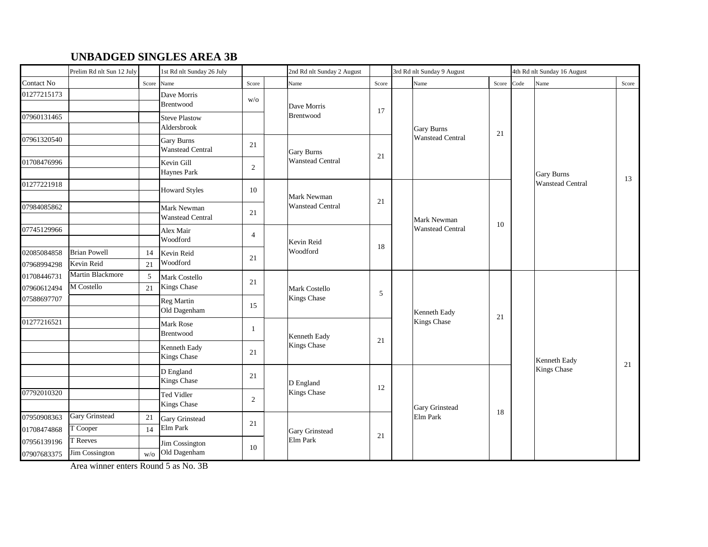## **UNBADGED SINGLES AREA 3B**

|                            | Prelim Rd nlt Sun 12 July         |          | 1st Rd nlt Sunday 26 July                    |                |                                           | 2nd Rd nlt Sunday 2 August |       | 3rd Rd nlt Sunday 9 August |                                |       | 4th Rd nlt Sunday 16 August |                                              |       |  |  |
|----------------------------|-----------------------------------|----------|----------------------------------------------|----------------|-------------------------------------------|----------------------------|-------|----------------------------|--------------------------------|-------|-----------------------------|----------------------------------------------|-------|--|--|
| Contact No                 |                                   | Score    | Name                                         | Score          |                                           | Name                       | Score |                            | Name                           | Score | Code                        | Name                                         | Score |  |  |
| 01277215173                |                                   |          | Dave Morris<br>Brentwood                     | W/O            |                                           | Dave Morris                | 17    |                            |                                |       |                             |                                              |       |  |  |
| 07960131465                |                                   |          | <b>Steve Plastow</b><br>Aldersbrook          |                |                                           | Brentwood                  |       |                            | Gary Burns<br>Wanstead Central | 21    |                             |                                              |       |  |  |
| 07961320540                |                                   |          | <b>Gary Burns</b><br><b>Wanstead Central</b> | 21             |                                           | <b>Gary Burns</b>          | 21    |                            |                                |       |                             |                                              |       |  |  |
| 01708476996                |                                   |          | Kevin Gill<br><b>Haynes Park</b>             | $\overline{2}$ |                                           | <b>Wanstead Central</b>    |       |                            |                                |       |                             | <b>Gary Burns</b><br><b>Wanstead Central</b> | 13    |  |  |
| 01277221918                |                                   |          | <b>Howard Styles</b>                         | 10             |                                           | Mark Newman                |       |                            |                                |       |                             |                                              |       |  |  |
| 07984085862                |                                   |          | Mark Newman<br><b>Wanstead Central</b>       | 21             | <b>Wanstead Central</b>                   | 21                         |       | Mark Newman                |                                |       |                             |                                              |       |  |  |
| 07745129966                |                                   |          | Alex Mair<br>Woodford                        | $\overline{4}$ |                                           | Kevin Reid<br>Woodford     |       |                            | Wanstead Central               | 10    |                             |                                              |       |  |  |
| 02085084858<br>07968994298 | <b>Brian Powell</b><br>Kevin Reid | 14<br>21 | Kevin Reid<br>Woodford                       | 21             |                                           |                            | 18    |                            |                                |       |                             |                                              |       |  |  |
| 01708446731<br>07960612494 | Martin Blackmore<br>M Costello    | 5<br>21  | Mark Costello<br>Kings Chase                 | 21             |                                           | Mark Costello              |       |                            |                                |       |                             |                                              |       |  |  |
| 07588697707                |                                   |          | Reg Martin<br>Old Dagenham                   | 15             |                                           | Kings Chase                | 5     |                            | Kenneth Eady                   | 21    |                             |                                              |       |  |  |
| 01277216521                |                                   |          | Mark Rose<br>Brentwood                       | $\mathbf{1}$   |                                           | Kenneth Eady               |       |                            | Kings Chase                    |       |                             |                                              |       |  |  |
|                            |                                   |          | Kenneth Eady<br><b>Kings Chase</b>           | 21             |                                           | Kings Chase                | 21    |                            |                                |       |                             | Kenneth Eady                                 |       |  |  |
|                            |                                   |          | D England<br>Kings Chase                     | 21             |                                           | D England                  |       |                            |                                |       |                             | <b>Kings Chase</b>                           | 21    |  |  |
| 07792010320                |                                   |          | Ted Vidler<br>Kings Chase                    | $\overline{2}$ | Kings Chase<br>Gary Grinstead<br>Elm Park |                            | 12    |                            | Gary Grinstead                 |       |                             |                                              |       |  |  |
| 07950908363<br>01708474868 | <b>Gary Grinstead</b><br>T Cooper | 21<br>14 | <b>Gary Grinstead</b><br>Elm Park            | 21             |                                           |                            |       |                            | Elm Park                       | 18    |                             |                                              |       |  |  |
| 07956139196<br>07907683375 | T Reeves<br>Jim Cossington        | W/O      | Jim Cossington<br>Old Dagenham               | 10             |                                           |                            | 21    |                            |                                |       |                             |                                              |       |  |  |

Area winner enters Round 5 as No. 3B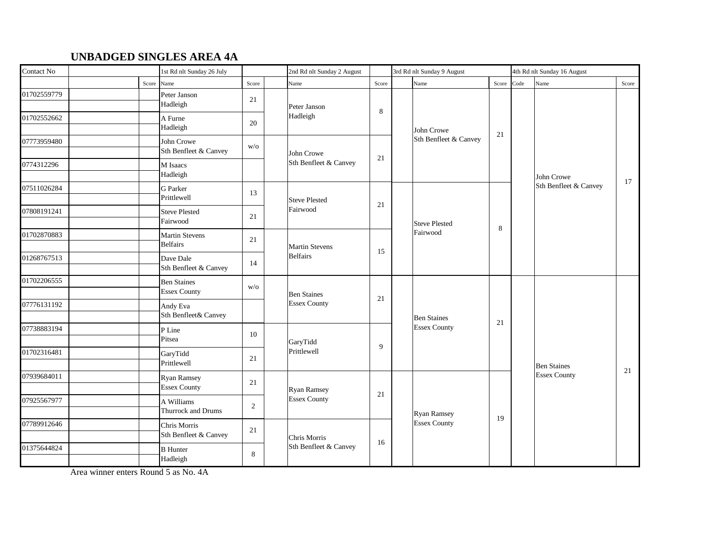#### **UNBADGED SINGLES AREA 4A**

| Contact No  |       | 1st Rd nlt Sunday 26 July                 |       | 2nd Rd nlt Sunday 2 August |       |  | 3rd Rd nlt Sunday 9 August                |            |  | 4th Rd nlt Sunday 16 August         |       |  |  |
|-------------|-------|-------------------------------------------|-------|----------------------------|-------|--|-------------------------------------------|------------|--|-------------------------------------|-------|--|--|
|             | Score | Name                                      | Score | Name                       | Score |  | Name                                      | Score Code |  | Name                                | Score |  |  |
| 01702559779 |       | Peter Janson<br>Hadleigh                  | 21    | Peter Janson               | 8     |  |                                           |            |  |                                     |       |  |  |
| 01702552662 |       | A Furne<br>Hadleigh                       | 20    | Hadleigh                   |       |  | John Crowe<br>Sth Benfleet & Canvey       | 21         |  |                                     |       |  |  |
| 07773959480 |       | John Crowe<br>Sth Benfleet & Canvey       | W/O   | John Crowe                 | 21    |  |                                           |            |  |                                     |       |  |  |
| 0774312296  |       | M Isaacs<br>Hadleigh                      |       | Sth Benfleet & Canvey      |       |  |                                           |            |  | John Crowe<br>Sth Benfleet & Canvey |       |  |  |
| 07511026284 |       | <b>G</b> Parker<br>Prittlewell            | 13    | <b>Steve Plested</b>       |       |  | Steve Plested<br>Fairwood                 |            |  |                                     | 17    |  |  |
| 07808191241 |       | <b>Steve Plested</b><br>Fairwood          | 21    | Fairwood                   | 21    |  |                                           |            |  |                                     |       |  |  |
| 01702870883 |       | <b>Martin Stevens</b><br><b>Belfairs</b>  | 21    | <b>Martin Stevens</b>      |       |  |                                           | 8          |  |                                     |       |  |  |
| 01268767513 |       | Dave Dale<br>Sth Benfleet & Canvey        | 14    | Belfairs                   | 15    |  |                                           |            |  |                                     |       |  |  |
| 01702206555 |       | <b>Ben Staines</b><br><b>Essex County</b> | W/O   | <b>Ben Staines</b>         |       |  | <b>Ben Staines</b><br><b>Essex County</b> |            |  |                                     |       |  |  |
| 07776131192 |       | Andy Eva<br>Sth Benfleet& Canvey          |       | <b>Essex County</b>        | 21    |  |                                           | 21         |  |                                     |       |  |  |
| 07738883194 |       | P Line<br>Pitsea                          | 10    | GaryTidd                   |       |  |                                           |            |  |                                     |       |  |  |
| 01702316481 |       | GaryTidd<br>Prittlewell                   | 21    | Prittlewell                | 9     |  |                                           |            |  | <b>Ben Staines</b>                  |       |  |  |
| 07939684011 |       | <b>Ryan Ramsey</b><br><b>Essex County</b> | 21    | Ryan Ramsey                |       |  |                                           |            |  | <b>Essex County</b>                 | 21    |  |  |
| 07925567977 |       | A Williams<br>Thurrock and Drums          | 2     | <b>Essex County</b>        | 21    |  | Ryan Ramsey                               |            |  |                                     |       |  |  |
| 07789912646 |       | Chris Morris<br>Sth Benfleet & Canvey     | 21    | Chris Morris               |       |  | <b>Essex County</b>                       | 19         |  |                                     |       |  |  |
| 01375644824 |       | <b>B</b> Hunter<br>Hadleigh               | 8     | Sth Benfleet & Canvey      | 16    |  |                                           |            |  |                                     |       |  |  |

Area winner enters Round 5 as No. 4A